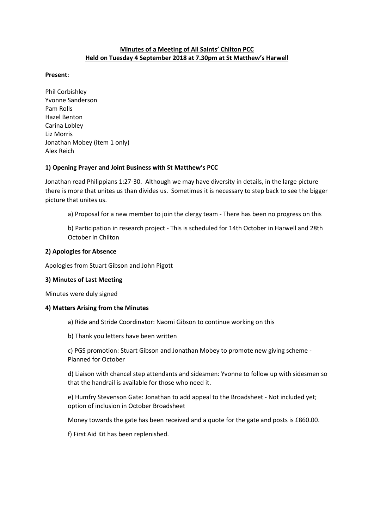# **Minutes of a Meeting of All Saints' Chilton PCC Held on Tuesday 4 September 2018 at 7.30pm at St Matthew's Harwell**

#### **Present:**

Phil Corbishley Yvonne Sanderson Pam Rolls Hazel Benton Carina Lobley Liz Morris Jonathan Mobey (item 1 only) Alex Reich

## **1) Opening Prayer and Joint Business with St Matthew's PCC**

Jonathan read Philippians 1:27-30. Although we may have diversity in details, in the large picture there is more that unites us than divides us. Sometimes it is necessary to step back to see the bigger picture that unites us.

a) Proposal for a new member to join the clergy team - There has been no progress on this

b) Participation in research project - This is scheduled for 14th October in Harwell and 28th October in Chilton

#### **2) Apologies for Absence**

Apologies from Stuart Gibson and John Pigott

## **3) Minutes of Last Meeting**

Minutes were duly signed

#### **4) Matters Arising from the Minutes**

a) Ride and Stride Coordinator: Naomi Gibson to continue working on this

b) Thank you letters have been written

c) PGS promotion: Stuart Gibson and Jonathan Mobey to promote new giving scheme - Planned for October

d) Liaison with chancel step attendants and sidesmen: Yvonne to follow up with sidesmen so that the handrail is available for those who need it.

e) Humfry Stevenson Gate: Jonathan to add appeal to the Broadsheet - Not included yet; option of inclusion in October Broadsheet

Money towards the gate has been received and a quote for the gate and posts is £860.00.

f) First Aid Kit has been replenished.